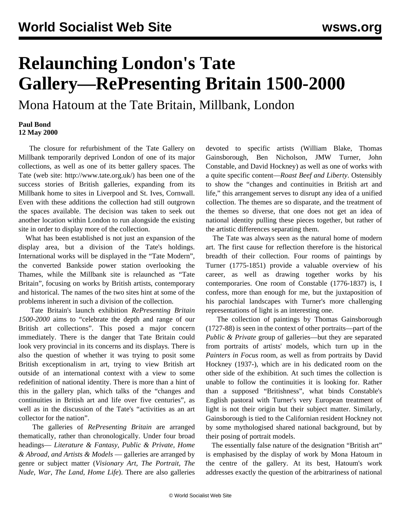## **Relaunching London's Tate Gallery—RePresenting Britain 1500-2000**

Mona Hatoum at the Tate Britain, Millbank, London

## **Paul Bond 12 May 2000**

 The closure for refurbishment of the Tate Gallery on Millbank temporarily deprived London of one of its major collections, as well as one of its better gallery spaces. The Tate (web site: <http://www.tate.org.uk/>) has been one of the success stories of British galleries, expanding from its Millbank home to sites in Liverpool and St. Ives, Cornwall. Even with these additions the collection had still outgrown the spaces available. The decision was taken to seek out another location within London to run alongside the existing site in order to display more of the collection.

 What has been established is not just an expansion of the display area, but a division of the Tate's holdings. International works will be displayed in the "Tate Modern", the converted Bankside power station overlooking the Thames, while the Millbank site is relaunched as "Tate Britain", focusing on works by British artists, contemporary and historical. The names of the two sites hint at some of the problems inherent in such a division of the collection.

 Tate Britain's launch exhibition *RePresenting Britain 1500-2000* aims to "celebrate the depth and range of our British art collections". This posed a major concern immediately. There is the danger that Tate Britain could look very provincial in its concerns and its displays. There is also the question of whether it was trying to posit some British exceptionalism in art, trying to view British art outside of an international context with a view to some redefinition of national identity. There is more than a hint of this in the gallery plan, which talks of the "changes and continuities in British art and life over five centuries", as well as in the discussion of the Tate's "activities as an art collector for the nation".

 The galleries of *RePresenting Britain* are arranged thematically, rather than chronologically. Under four broad headings— *Literature & Fantasy, Public & Private, Home & Abroad, and Artists & Models* — galleries are arranged by genre or subject matter (*Visionary Art, The Portrait, The Nude, War, The Land, Home Life*). There are also galleries devoted to specific artists (William Blake, Thomas Gainsborough, Ben Nicholson, JMW Turner, John Constable, and David Hockney) as well as one of works with a quite specific content—*Roast Beef and Liberty*. Ostensibly to show the "changes and continuities in British art and life," this arrangement serves to disrupt any idea of a unified collection. The themes are so disparate, and the treatment of the themes so diverse, that one does not get an idea of national identity pulling these pieces together, but rather of the artistic differences separating them.

 The Tate was always seen as the natural home of modern art. The first cause for reflection therefore is the historical breadth of their collection. Four rooms of paintings by Turner (1775-1851) provide a valuable overview of his career, as well as drawing together works by his contemporaries. One room of Constable (1776-1837) is, I confess, more than enough for me, but the juxtaposition of his parochial landscapes with Turner's more challenging representations of light is an interesting one.

 The collection of paintings by Thomas Gainsborough (1727-88) is seen in the context of other portraits—part of the *Public & Private* group of galleries—but they are separated from portraits of artists' models, which turn up in the *Painters in Focus* room, as well as from portraits by David Hockney (1937-), which are in his dedicated room on the other side of the exhibition. At such times the collection is unable to follow the continuities it is looking for. Rather than a supposed "Britishness", what binds Constable's English pastoral with Turner's very European treatment of light is not their origin but their subject matter. Similarly, Gainsborough is tied to the Californian resident Hockney not by some mythologised shared national background, but by their posing of portrait models.

 The essentially false nature of the designation "British art" is emphasised by the display of work by Mona Hatoum in the centre of the gallery. At its best, Hatoum's work addresses exactly the question of the arbitrariness of national